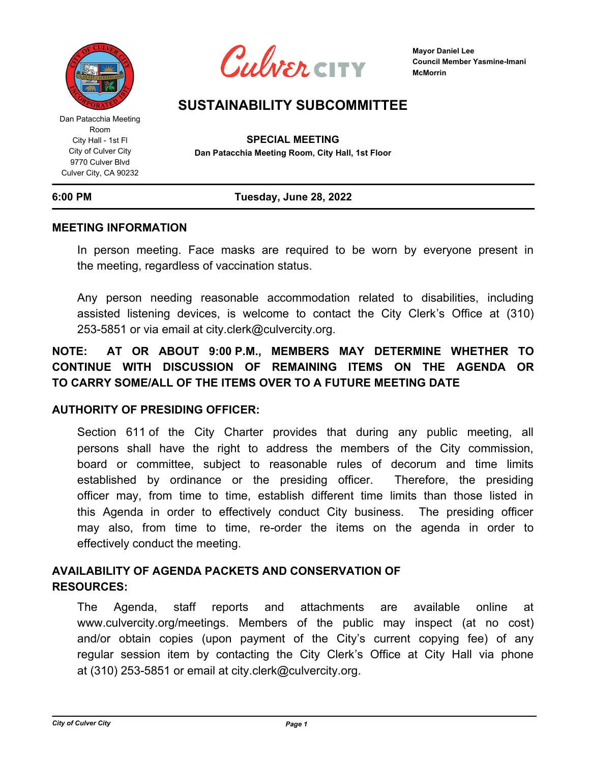

Dan Patacchia Meeting Room City Hall - 1st Fl City of Culver City 9770 Culver Blvd Culver City, CA 90232



**Mayor Daniel Lee Council Member Yasmine-Imani McMorrin**

# **SUSTAINABILITY SUBCOMMITTEE**

**SPECIAL MEETING Dan Patacchia Meeting Room, City Hall, 1st Floor**

## **6:00 PM Tuesday, June 28, 2022**

## **MEETING INFORMATION**

In person meeting. Face masks are required to be worn by everyone present in the meeting, regardless of vaccination status.

Any person needing reasonable accommodation related to disabilities, including assisted listening devices, is welcome to contact the City Clerk's Office at (310) 253-5851 or via email at city.clerk@culvercity.org.

## **NOTE: AT OR ABOUT 9:00 P.M., MEMBERS MAY DETERMINE WHETHER TO CONTINUE WITH DISCUSSION OF REMAINING ITEMS ON THE AGENDA OR TO CARRY SOME/ALL OF THE ITEMS OVER TO A FUTURE MEETING DATE**

## **AUTHORITY OF PRESIDING OFFICER:**

Section 611 of the City Charter provides that during any public meeting, all persons shall have the right to address the members of the City commission, board or committee, subject to reasonable rules of decorum and time limits established by ordinance or the presiding officer. Therefore, the presiding officer may, from time to time, establish different time limits than those listed in this Agenda in order to effectively conduct City business. The presiding officer may also, from time to time, re-order the items on the agenda in order to effectively conduct the meeting.

## **AVAILABILITY OF AGENDA PACKETS AND CONSERVATION OF RESOURCES:**

The Agenda, staff reports and attachments are available online at www.culvercity.org/meetings. Members of the public may inspect (at no cost) and/or obtain copies (upon payment of the City's current copying fee) of any regular session item by contacting the City Clerk's Office at City Hall via phone at (310) 253-5851 or email at city.clerk@culvercity.org.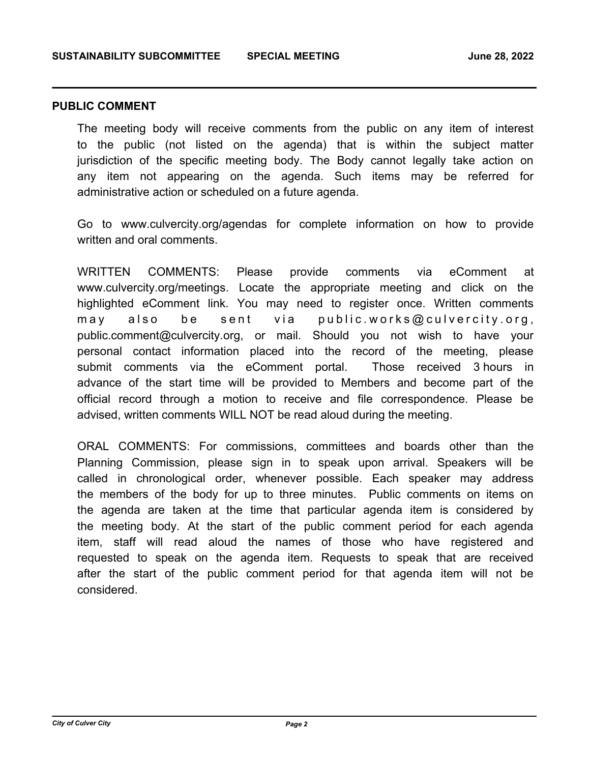## **PUBLIC COMMENT**

The meeting body will receive comments from the public on any item of interest to the public (not listed on the agenda) that is within the subject matter jurisdiction of the specific meeting body. The Body cannot legally take action on any item not appearing on the agenda. Such items may be referred for administrative action or scheduled on a future agenda.

Go to www.culvercity.org/agendas for complete information on how to provide written and oral comments.

WRITTEN COMMENTS: Please provide comments via eComment at www.culvercity.org/meetings. Locate the appropriate meeting and click on the highlighted eComment link. You may need to register once. Written comments may also be sent via public.works@culvercity.org, public.comment@culvercity.org, or mail. Should you not wish to have your personal contact information placed into the record of the meeting, please submit comments via the eComment portal. Those received 3 hours in advance of the start time will be provided to Members and become part of the official record through a motion to receive and file correspondence. Please be advised, written comments WILL NOT be read aloud during the meeting.

ORAL COMMENTS: For commissions, committees and boards other than the Planning Commission, please sign in to speak upon arrival. Speakers will be called in chronological order, whenever possible. Each speaker may address the members of the body for up to three minutes. Public comments on items on the agenda are taken at the time that particular agenda item is considered by the meeting body. At the start of the public comment period for each agenda item, staff will read aloud the names of those who have registered and requested to speak on the agenda item. Requests to speak that are received after the start of the public comment period for that agenda item will not be considered.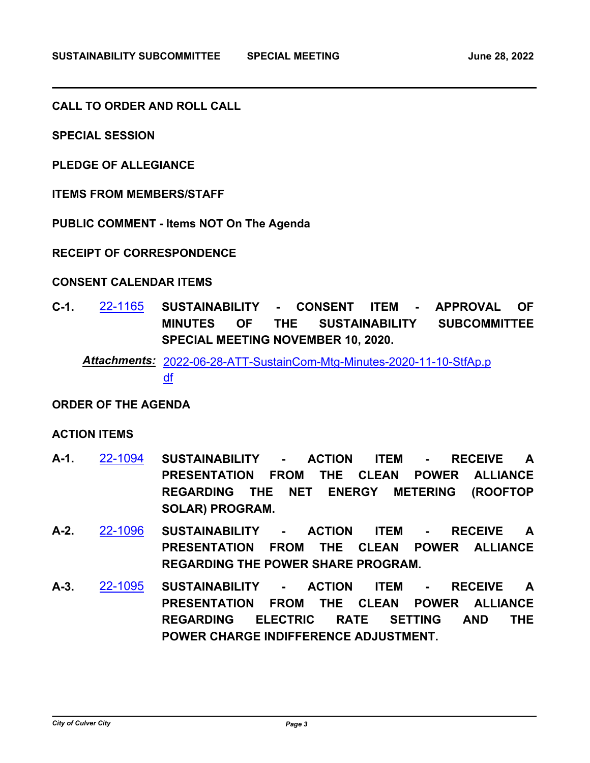**CALL TO ORDER AND ROLL CALL**

**SPECIAL SESSION**

**PLEDGE OF ALLEGIANCE**

**ITEMS FROM MEMBERS/STAFF**

**PUBLIC COMMENT - Items NOT On The Agenda**

**RECEIPT OF CORRESPONDENCE**

## **CONSENT CALENDAR ITEMS**

**C-1.** [22-1165](http://culver-city.legistar.com/gateway.aspx?m=l&id=/matter.aspx?key=30004) **SUSTAINABILITY - CONSENT ITEM - APPROVAL OF MINUTES OF THE SUSTAINABILITY SUBCOMMITTEE SPECIAL MEETING NOVEMBER 10, 2020.**

[2022-06-28-ATT-SustainCom-Mtg-Minutes-2020-11-10-StfAp.p](http://culver-city.legistar.com/gateway.aspx?M=F&ID=3efa9e1a-917a-4f64-ae73-4f9dc9f4f82f.pdf) *Attachments:* df

## **ORDER OF THE AGENDA**

## **ACTION ITEMS**

- **A-1.** [22-1094](http://culver-city.legistar.com/gateway.aspx?m=l&id=/matter.aspx?key=29933) **SUSTAINABILITY ACTION ITEM RECEIVE A PRESENTATION FROM THE CLEAN POWER ALLIANCE REGARDING THE NET ENERGY METERING (ROOFTOP SOLAR) PROGRAM.**
- **A-2.** [22-1096](http://culver-city.legistar.com/gateway.aspx?m=l&id=/matter.aspx?key=29935) **SUSTAINABILITY ACTION ITEM RECEIVE A PRESENTATION FROM THE CLEAN POWER ALLIANCE REGARDING THE POWER SHARE PROGRAM.**
- **A-3.** [22-1095](http://culver-city.legistar.com/gateway.aspx?m=l&id=/matter.aspx?key=29934) **SUSTAINABILITY ACTION ITEM RECEIVE A PRESENTATION FROM THE CLEAN POWER ALLIANCE REGARDING ELECTRIC RATE SETTING AND THE POWER CHARGE INDIFFERENCE ADJUSTMENT.**